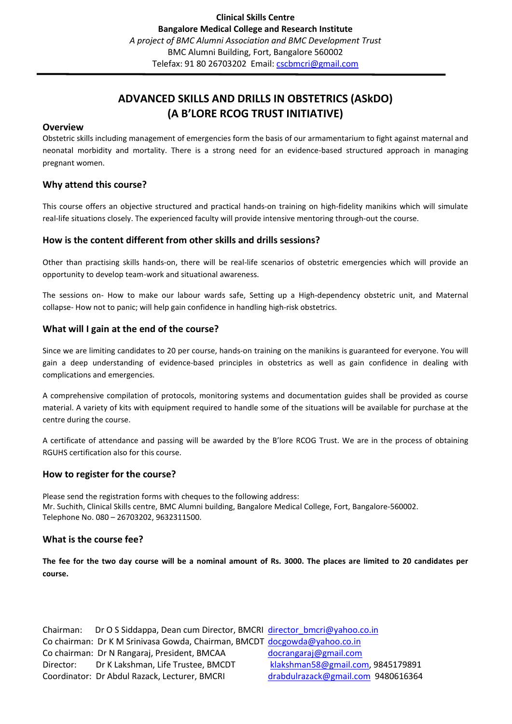# **ADVANCED SKILLS AND DRILLS IN OBSTETRICS (ASkDO) (A B'LORE RCOG TRUST INITIATIVE)**

#### **Overview**

Obstetric skills including management of emergencies form the basis of our armamentarium to fight against maternal and neonatal morbidity and mortality. There is a strong need for an evidence-based structured approach in managing pregnant women.

## **Why attend this course?**

This course offers an objective structured and practical hands-on training on high-fidelity manikins which will simulate real-life situations closely. The experienced faculty will provide intensive mentoring through-out the course.

## **How is the content different from other skills and drills sessions?**

Other than practising skills hands-on, there will be real-life scenarios of obstetric emergencies which will provide an opportunity to develop team-work and situational awareness.

The sessions on- How to make our labour wards safe, Setting up a High-dependency obstetric unit, and Maternal collapse- How not to panic; will help gain confidence in handling high-risk obstetrics.

## **What will I gain at the end of the course?**

Since we are limiting candidates to 20 per course, hands-on training on the manikins is guaranteed for everyone. You will gain a deep understanding of evidence-based principles in obstetrics as well as gain confidence in dealing with complications and emergencies.

A comprehensive compilation of protocols, monitoring systems and documentation guides shall be provided as course material. A variety of kits with equipment required to handle some of the situations will be available for purchase at the centre during the course.

A certificate of attendance and passing will be awarded by the B'lore RCOG Trust. We are in the process of obtaining RGUHS certification also for this course.

## **How to register for the course?**

Please send the registration forms with cheques to the following address: Mr. Suchith, Clinical Skills centre, BMC Alumni building, Bangalore Medical College, Fort, Bangalore-560002. Telephone No. 080 – 26703202, 9632311500.

## **What is the course fee?**

**The fee for the two day course will be a nominal amount of Rs. 3000. The places are limited to 20 candidates per course.** 

Chairman: Dr O S Siddappa, Dean cum Director, BMCRI director bmcri@yahoo.co.in Co chairman: Dr K M Srinivasa Gowda, Chairman, BMCDT [docgowda@yahoo.co.in](mailto:docgowda@yahoo.co.in) Co chairman: Dr N Rangaraj, President, BMCAA [docrangaraj@gmail.com](mailto:docrangaraj@gmail.com) Director: Dr K Lakshman, Life Trustee, BMCDT [klakshman58@gmail.com,](mailto:klakshman58@gmail.com) 9845179891 Coordinator: Dr Abdul Razack, Lecturer, BMCRI [drabdulrazack@gmail.com](mailto:drabdulrazack@gmail.com) 9480616364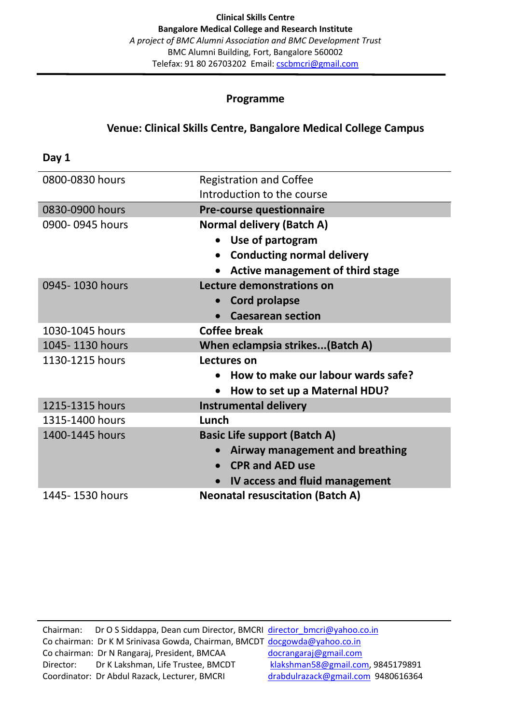## **Programme**

## **Venue: Clinical Skills Centre, Bangalore Medical College Campus**

**Day 1** 0800-0830 hours Registration and Coffee Introduction to the course 0830-0900 hours **Pre-course questionnaire** 0900- 0945 hours **Normal delivery (Batch A)** • **Use of partogram** • **Conducting normal delivery** • **Active management of third stage** 0945- 1030 hours **Lecture demonstrations on** • **Cord prolapse** • **Caesarean section** 1030-1045 hours **Coffee break** 1045- 1130 hours **When eclampsia strikes...(Batch A)** 1130-1215 hours **Lectures on** • **How to make our labour wards safe?** • **How to set up a Maternal HDU?** 1215-1315 hours **Instrumental delivery** 1315-1400 hours **Lunch** 1400-1445 hours **Basic Life support (Batch A)** • **Airway management and breathing** • **CPR and AED use** • **IV access and fluid management** 1445- 1530 hours **Neonatal resuscitation (Batch A)**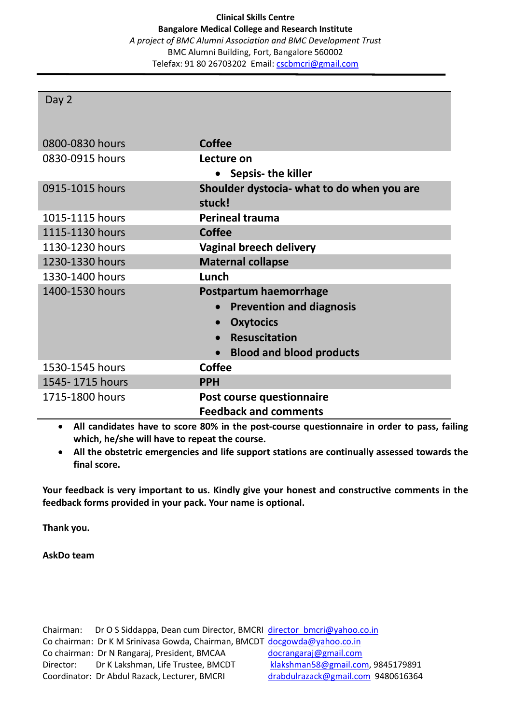## Day 2

| 0800-0830 hours | <b>Coffee</b>                                        |
|-----------------|------------------------------------------------------|
| 0830-0915 hours | Lecture on                                           |
|                 | Sepsis- the killer                                   |
| 0915-1015 hours | Shoulder dystocia- what to do when you are<br>stuck! |
| 1015-1115 hours | <b>Perineal trauma</b>                               |
| 1115-1130 hours | <b>Coffee</b>                                        |
| 1130-1230 hours | <b>Vaginal breech delivery</b>                       |
| 1230-1330 hours | <b>Maternal collapse</b>                             |
| 1330-1400 hours | Lunch                                                |
| 1400-1530 hours | Postpartum haemorrhage                               |
|                 | <b>Prevention and diagnosis</b>                      |
|                 | <b>Oxytocics</b>                                     |
|                 | <b>Resuscitation</b><br>$\bullet$                    |
|                 | <b>Blood and blood products</b><br>$\bullet$         |
| 1530-1545 hours | Coffee                                               |
| 1545-1715 hours | <b>PPH</b>                                           |
| 1715-1800 hours | Post course questionnaire                            |
|                 | <b>Feedback and comments</b>                         |

• **All candidates have to score 80% in the post-course questionnaire in order to pass, failing which, he/she will have to repeat the course.**

• **All the obstetric emergencies and life support stations are continually assessed towards the final score.**

**Your feedback is very important to us. Kindly give your honest and constructive comments in the feedback forms provided in your pack. Your name is optional.**

**Thank you.**

**AskDo team**